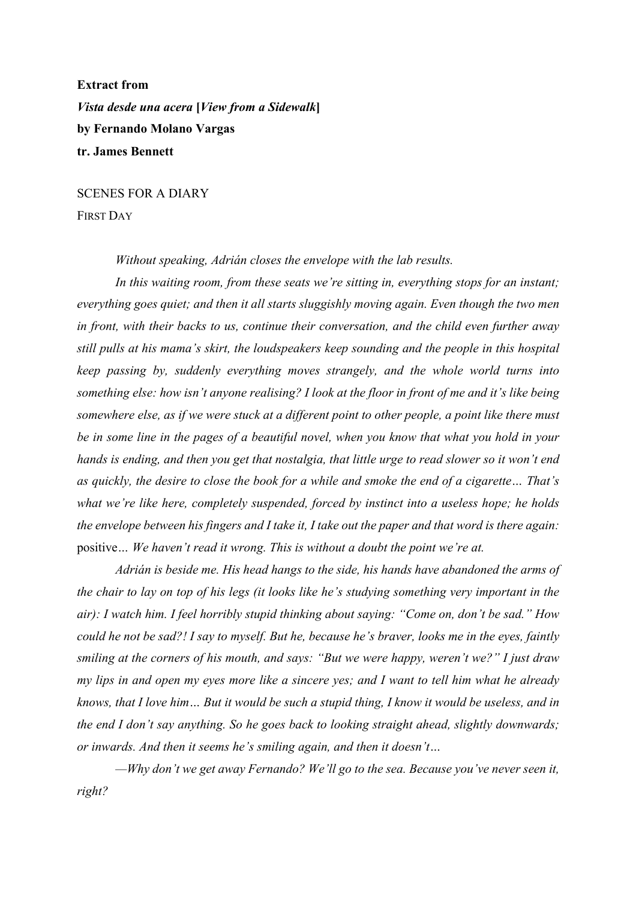**Extract from** *Vista desde una acera* **[***View from a Sidewalk***] by Fernando Molano Vargas tr. James Bennett**

SCENES FOR A DIARY FIRST DAY

*Without speaking, Adrián closes the envelope with the lab results.*

*In this waiting room, from these seats we're sitting in, everything stops for an instant; everything goes quiet; and then it all starts sluggishly moving again. Even though the two men in front, with their backs to us, continue their conversation, and the child even further away still pulls at his mama's skirt, the loudspeakers keep sounding and the people in this hospital keep passing by, suddenly everything moves strangely, and the whole world turns into something else: how isn't anyone realising? I look at the floor in front of me and it's like being somewhere else, as if we were stuck at a different point to other people, a point like there must be in some line in the pages of a beautiful novel, when you know that what you hold in your hands is ending, and then you get that nostalgia, that little urge to read slower so it won't end as quickly, the desire to close the book for a while and smoke the end of a cigarette… That's what we're like here, completely suspended, forced by instinct into a useless hope; he holds the envelope between his fingers and I take it, I take out the paper and that word is there again:*  positive*… We haven't read it wrong. This is without a doubt the point we're at.*

*Adrián is beside me. His head hangs to the side, his hands have abandoned the arms of the chair to lay on top of his legs (it looks like he's studying something very important in the air): I watch him. I feel horribly stupid thinking about saying: "Come on, don't be sad." How could he not be sad?! I say to myself. But he, because he's braver, looks me in the eyes, faintly smiling at the corners of his mouth, and says: "But we were happy, weren't we?" I just draw my lips in and open my eyes more like a sincere yes; and I want to tell him what he already knows, that I love him… But it would be such a stupid thing, I know it would be useless, and in the end I don't say anything. So he goes back to looking straight ahead, slightly downwards; or inwards. And then it seems he's smiling again, and then it doesn't…*

*—Why don't we get away Fernando? We'll go to the sea. Because you've never seen it, right?*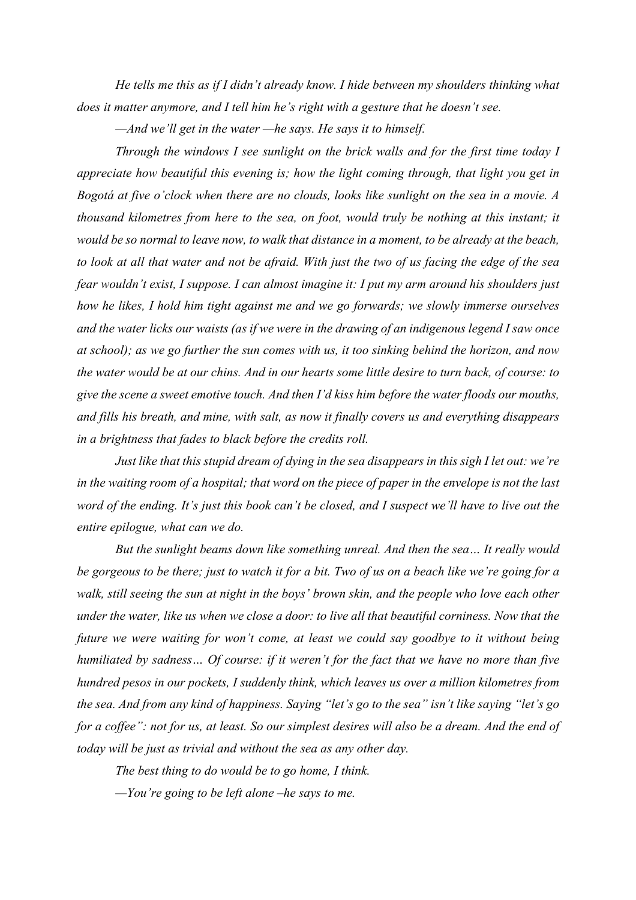*He tells me this as if I didn't already know. I hide between my shoulders thinking what does it matter anymore, and I tell him he's right with a gesture that he doesn't see.*

*—And we'll get in the water —he says. He says it to himself.*

*Through the windows I see sunlight on the brick walls and for the first time today I appreciate how beautiful this evening is; how the light coming through, that light you get in Bogotá at five o'clock when there are no clouds, looks like sunlight on the sea in a movie. A thousand kilometres from here to the sea, on foot, would truly be nothing at this instant; it would be so normal to leave now, to walk that distance in a moment, to be already at the beach, to look at all that water and not be afraid. With just the two of us facing the edge of the sea fear wouldn't exist, I suppose. I can almost imagine it: I put my arm around his shoulders just how he likes, I hold him tight against me and we go forwards; we slowly immerse ourselves and the water licks our waists (as if we were in the drawing of an indigenous legend I saw once at school); as we go further the sun comes with us, it too sinking behind the horizon, and now the water would be at our chins. And in our hearts some little desire to turn back, of course: to give the scene a sweet emotive touch. And then I'd kiss him before the water floods our mouths, and fills his breath, and mine, with salt, as now it finally covers us and everything disappears in a brightness that fades to black before the credits roll.*

*Just like that this stupid dream of dying in the sea disappears in this sigh I let out: we're in the waiting room of a hospital; that word on the piece of paper in the envelope is not the last word of the ending. It's just this book can't be closed, and I suspect we'll have to live out the entire epilogue, what can we do.*

*But the sunlight beams down like something unreal. And then the sea… It really would be gorgeous to be there; just to watch it for a bit. Two of us on a beach like we're going for a walk, still seeing the sun at night in the boys' brown skin, and the people who love each other under the water, like us when we close a door: to live all that beautiful corniness. Now that the future we were waiting for won't come, at least we could say goodbye to it without being humiliated by sadness… Of course: if it weren't for the fact that we have no more than five hundred pesos in our pockets, I suddenly think, which leaves us over a million kilometres from the sea. And from any kind of happiness. Saying "let's go to the sea" isn't like saying "let's go*  for a coffee": not for us, at least. So our simplest desires will also be a dream. And the end of *today will be just as trivial and without the sea as any other day.*

*The best thing to do would be to go home, I think. —You're going to be left alone –he says to me.*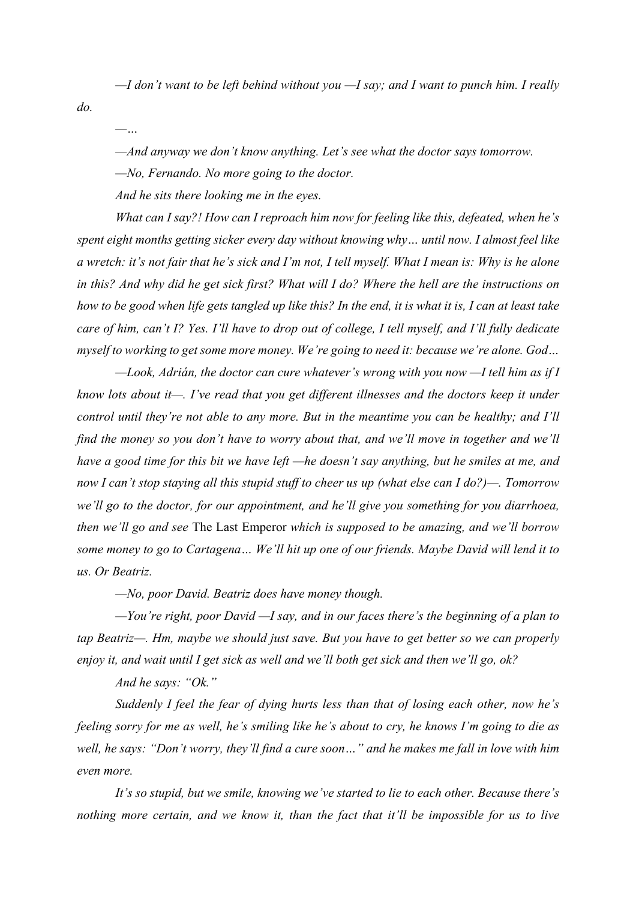*—I don't want to be left behind without you —I say; and I want to punch him. I really* 

*do.*

*—…*

*—And anyway we don't know anything. Let's see what the doctor says tomorrow.*

*—No, Fernando. No more going to the doctor.*

*And he sits there looking me in the eyes.*

*What can I say?! How can I reproach him now for feeling like this, defeated, when he's spent eight months getting sicker every day without knowing why… until now. I almost feel like a wretch: it's not fair that he's sick and I'm not, I tell myself. What I mean is: Why is he alone in this? And why did he get sick first? What will I do? Where the hell are the instructions on how to be good when life gets tangled up like this? In the end, it is what it is, I can at least take care of him, can't I? Yes. I'll have to drop out of college, I tell myself, and I'll fully dedicate myself to working to get some more money. We're going to need it: because we're alone. God…*

*—Look, Adrián, the doctor can cure whatever's wrong with you now —I tell him as if I know lots about it—. I've read that you get different illnesses and the doctors keep it under control until they're not able to any more. But in the meantime you can be healthy; and I'll find the money so you don't have to worry about that, and we'll move in together and we'll have a good time for this bit we have left —he doesn't say anything, but he smiles at me, and now I can't stop staying all this stupid stuff to cheer us up (what else can I do?)—. Tomorrow we'll go to the doctor, for our appointment, and he'll give you something for you diarrhoea, then we'll go and see* The Last Emperor *which is supposed to be amazing, and we'll borrow some money to go to Cartagena… We'll hit up one of our friends. Maybe David will lend it to us. Or Beatriz.*

*—No, poor David. Beatriz does have money though.*

*—You're right, poor David —I say, and in our faces there's the beginning of a plan to tap Beatriz—. Hm, maybe we should just save. But you have to get better so we can properly enjoy it, and wait until I get sick as well and we'll both get sick and then we'll go, ok?*

*And he says: "Ok."*

*Suddenly I feel the fear of dying hurts less than that of losing each other, now he's feeling sorry for me as well, he's smiling like he's about to cry, he knows I'm going to die as well, he says: "Don't worry, they'll find a cure soon…" and he makes me fall in love with him even more.*

*It's so stupid, but we smile, knowing we've started to lie to each other. Because there's nothing more certain, and we know it, than the fact that it'll be impossible for us to live*